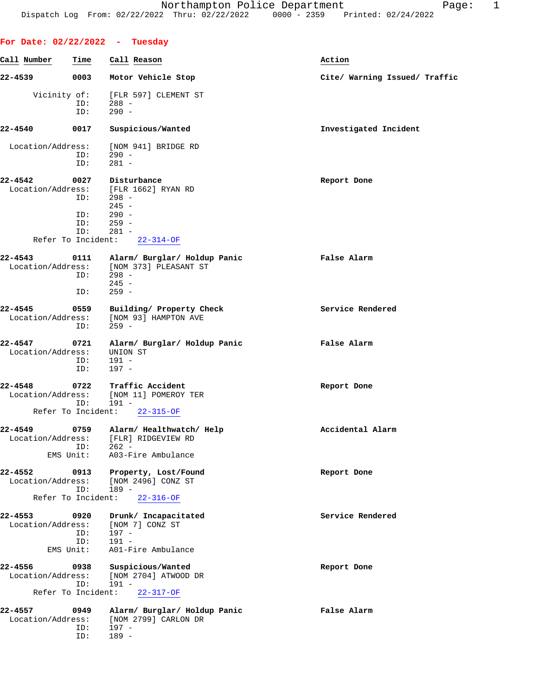|                              |                           | For Date: $02/22/2022 - Tuesday$         |                               |
|------------------------------|---------------------------|------------------------------------------|-------------------------------|
| Call Number                  | Time                      | Call Reason                              | Action                        |
| 22-4539                      | 0003                      | Motor Vehicle Stop                       | Cite/ Warning Issued/ Traffic |
| Vicinity of:                 |                           | [FLR 597] CLEMENT ST                     |                               |
|                              | ID:<br>ID:                | 288 -<br>$290 -$                         |                               |
| 22-4540                      | 0017                      | Suspicious/Wanted                        | Investigated Incident         |
| Location/Address:            |                           | [NOM 941] BRIDGE RD                      |                               |
|                              | ID:<br>ID:                | $290 -$<br>$281 -$                       |                               |
| 22-4542<br>Location/Address: | 0027                      | Disturbance<br>[FLR 1662] RYAN RD        | Report Done                   |
|                              | ID:                       | $298 -$                                  |                               |
|                              | ID:                       | $245 -$<br>$290 -$                       |                               |
|                              | ID:                       | $259 -$                                  |                               |
|                              | ID:<br>Refer To Incident: | $281 -$<br>$22 - 314 - OF$               |                               |
| $22 - 4543$                  | 0111                      | Alarm/ Burglar/ Holdup Panic             | False Alarm                   |
| Location/Address:            |                           | [NOM 373] PLEASANT ST                    |                               |
|                              | ID:                       | $298 -$<br>$245 -$                       |                               |
|                              | ID:                       | $259 -$                                  |                               |
| 22-4545                      | 0559                      | Building/ Property Check                 | Service Rendered              |
| Location/Address:            | ID:                       | [NOM 93] HAMPTON AVE<br>$259 -$          |                               |
|                              |                           |                                          |                               |
| 22-4547<br>Location/Address: | 0721                      | Alarm/ Burglar/ Holdup Panic<br>UNION ST | False Alarm                   |
|                              | ID:                       | $191 -$                                  |                               |
|                              | ID:                       | $197 -$                                  |                               |
| 22-4548<br>Location/Address: | 0722                      | Traffic Accident<br>[NOM 11] POMEROY TER | Report Done                   |
|                              | ID:                       | $191 -$                                  |                               |
|                              |                           | Refer To Incident: 22-315-OF             |                               |
| 22-4549                      | 0759                      | Alarm/ Healthwatch/ Help                 | Accidental Alarm              |
| Location/Address:            | ID:                       | [FLR] RIDGEVIEW RD<br>262 -              |                               |
|                              | EMS Unit:                 | A03-Fire Ambulance                       |                               |
| 22-4552                      | 0913                      | Property, Lost/Found                     | Report Done                   |
| Location/Address:            | ID:                       | [NOM 2496] CONZ ST<br>$189 -$            |                               |
|                              | Refer To Incident:        | $22 - 316 - OF$                          |                               |
| 22-4553                      | 0920                      | Drunk/ Incapacitated                     | Service Rendered              |
| Location/Address:            |                           | [NOM 7] CONZ ST                          |                               |
|                              | ID:<br>ID:                | 197 -<br>191 -                           |                               |
|                              | EMS Unit:                 | A01-Fire Ambulance                       |                               |
| 22-4556                      | 0938                      | Suspicious/Wanted                        | Report Done                   |
| Location/Address:            | ID:                       | [NOM 2704] ATWOOD DR<br>$191 -$          |                               |
|                              | Refer To Incident:        | $22 - 317 - OF$                          |                               |
| 22-4557                      | 0949                      | Alarm/ Burglar/ Holdup Panic             | False Alarm                   |
| Location/Address:            |                           | [NOM 2799] CARLON DR                     |                               |
|                              | ID:<br>ID:                | 197 -<br>$189 -$                         |                               |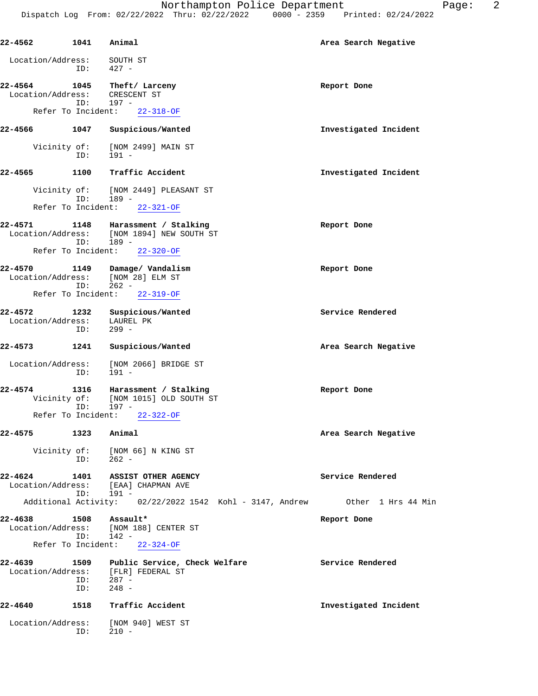| 22-4562                      | 1041                     | Animal                                                                           | Area Search Negative  |
|------------------------------|--------------------------|----------------------------------------------------------------------------------|-----------------------|
| Location/Address:            | ID:                      | SOUTH ST<br>$427 -$                                                              |                       |
| 22-4564<br>Location/Address: | 1045<br>ID:              | Theft/ Larceny<br>CRESCENT ST<br>197 -                                           | Report Done           |
| Refer To Incident:           |                          | $22 - 318 - OF$                                                                  |                       |
| 22-4566<br>1047              |                          | Suspicious/Wanted                                                                | Investigated Incident |
| Vicinity of:                 | ID:                      | [NOM 2499] MAIN ST<br>$191 -$                                                    |                       |
| 22-4565                      | 1100                     | Traffic Accident                                                                 | Investigated Incident |
| Refer To Incident:           | ID:                      | Vicinity of: [NOM 2449] PLEASANT ST<br>$189 -$<br>$22 - 321 - OF$                |                       |
|                              |                          |                                                                                  |                       |
| 22-4571                      | 1148<br>ID:              | Harassment / Stalking<br>Location/Address: [NOM 1894] NEW SOUTH ST<br>189 -      | Report Done           |
| Refer To Incident:           |                          | $22 - 320 - OF$                                                                  |                       |
| $22 - 4570$                  | 1149<br>ID:              | Damage/ Vandalism<br>Location/Address: [NOM 28] ELM ST<br>$262 -$                | Report Done           |
| Refer To Incident:           |                          | $22 - 319 - OF$                                                                  |                       |
| 22-4572<br>Location/Address: | 1232                     | Suspicious/Wanted<br>LAUREL PK                                                   | Service Rendered      |
|                              | ID:                      | $299 -$                                                                          |                       |
| 22-4573                      | 1241                     | Suspicious/Wanted                                                                | Area Search Negative  |
| Location/Address:            | ID:                      | [NOM 2066] BRIDGE ST<br>$191 -$                                                  |                       |
| 22-4574                      | 1316<br>ID:              | Harassment / Stalking<br>Vicinity of: [NOM 1015] OLD SOUTH ST<br>197 -           | Report Done           |
| Refer To Incident:           |                          | $22 - 322 - 0F$                                                                  |                       |
| 22-4575                      | 1323 Animal              |                                                                                  | Area Search Negative  |
|                              | ID: 262 -                | Vicinity of: [NOM 66] N KING ST                                                  |                       |
|                              | ID: 191 -                | 22-4624 1401 ASSIST OTHER AGENCY<br>Location/Address: [EAA] CHAPMAN AVE          | Service Rendered      |
|                              |                          | Additional Activity: 02/22/2022 1542 Kohl - 3147, Andrew 0ther 1 Hrs 44 Min      |                       |
| 22-4638                      |                          | 1508 Assault*<br>Location/Address: [NOM 188] CENTER ST                           | Report Done           |
|                              | $ID: 142 -$              | Refer To Incident: 22-324-OF                                                     |                       |
|                              | ID: 287 -<br>$ID: 248 -$ | 22-4639 1509 Public Service, Check Welfare<br>Location/Address: [FLR] FEDERAL ST | Service Rendered      |
| 22-4640                      | 1518                     | Traffic Accident                                                                 | Investigated Incident |
|                              | ID:                      | Location/Address: [NOM 940] WEST ST<br>$210 -$                                   |                       |